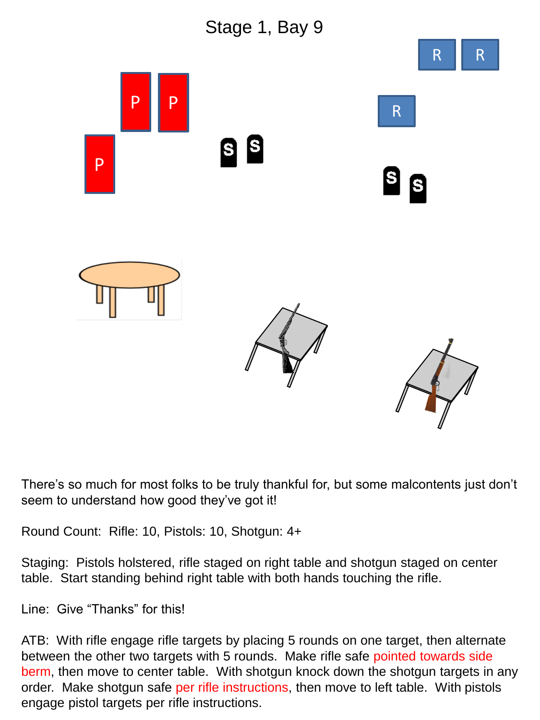

There's so much for most folks to be truly thankful for, but some malcontents just don't seem to understand how good they've got it!

Round Count: Rifle: 10, Pistols: 10, Shotgun: 4+

Staging: Pistols holstered, rifle staged on right table and shotgun staged on center table. Start standing behind right table with both hands touching the rifle.

Line: Give "Thanks" for this!

ATB: With rifle engage rifle targets by placing 5 rounds on one target, then alternate between the other two targets with 5 rounds. Make rifle safe pointed towards side berm, then move to center table. With shotgun knock down the shotgun targets in any order. Make shotgun safe per rifle instructions, then move to left table. With pistols engage pistol targets per rifle instructions.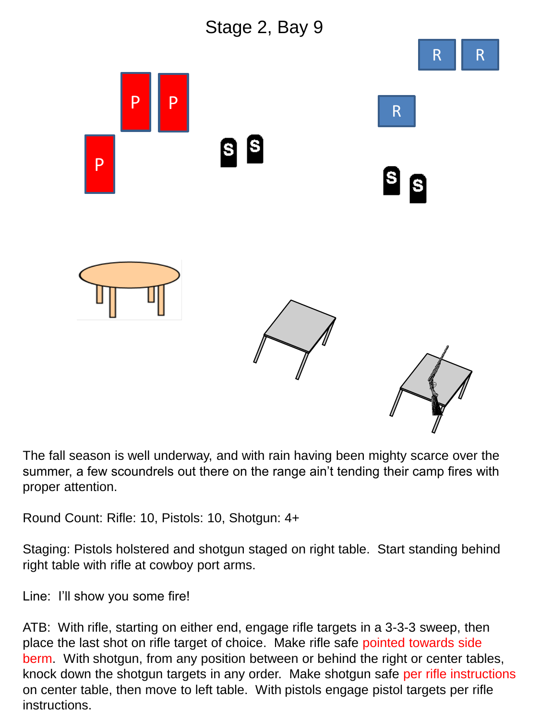

The fall season is well underway, and with rain having been mighty scarce over the summer, a few scoundrels out there on the range ain't tending their camp fires with proper attention.

Round Count: Rifle: 10, Pistols: 10, Shotgun: 4+

Staging: Pistols holstered and shotgun staged on right table. Start standing behind right table with rifle at cowboy port arms.

Line: I'll show you some fire!

ATB: With rifle, starting on either end, engage rifle targets in a 3-3-3 sweep, then place the last shot on rifle target of choice. Make rifle safe pointed towards side berm. With shotgun, from any position between or behind the right or center tables, knock down the shotgun targets in any order. Make shotgun safe per rifle instructions on center table, then move to left table. With pistols engage pistol targets per rifle instructions.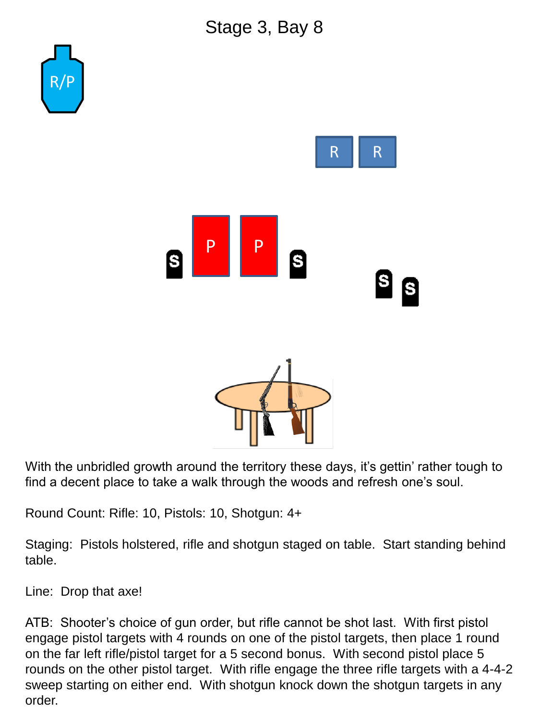## Stage 3, Bay 8



With the unbridled growth around the territory these days, it's gettin' rather tough to find a decent place to take a walk through the woods and refresh one's soul.

Round Count: Rifle: 10, Pistols: 10, Shotgun: 4+

Staging: Pistols holstered, rifle and shotgun staged on table. Start standing behind table.

Line: Drop that axe!

ATB: Shooter's choice of gun order, but rifle cannot be shot last. With first pistol engage pistol targets with 4 rounds on one of the pistol targets, then place 1 round on the far left rifle/pistol target for a 5 second bonus. With second pistol place 5 rounds on the other pistol target. With rifle engage the three rifle targets with a 4-4-2 sweep starting on either end. With shotgun knock down the shotgun targets in any order.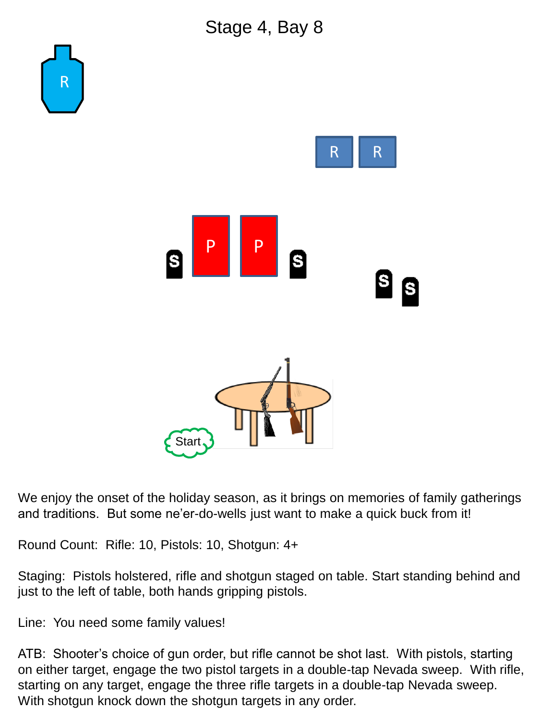

We enjoy the onset of the holiday season, as it brings on memories of family gatherings and traditions. But some ne'er-do-wells just want to make a quick buck from it!

Round Count: Rifle: 10, Pistols: 10, Shotgun: 4+

Staging: Pistols holstered, rifle and shotgun staged on table. Start standing behind and just to the left of table, both hands gripping pistols.

Line: You need some family values!

ATB: Shooter's choice of gun order, but rifle cannot be shot last. With pistols, starting on either target, engage the two pistol targets in a double-tap Nevada sweep. With rifle, starting on any target, engage the three rifle targets in a double-tap Nevada sweep. With shotgun knock down the shotgun targets in any order.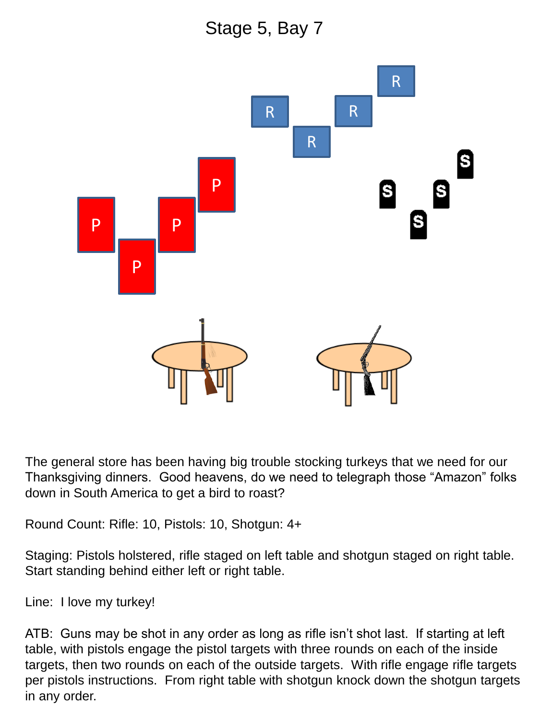Stage 5, Bay 7



The general store has been having big trouble stocking turkeys that we need for our Thanksgiving dinners. Good heavens, do we need to telegraph those "Amazon" folks down in South America to get a bird to roast?

Round Count: Rifle: 10, Pistols: 10, Shotgun: 4+

Staging: Pistols holstered, rifle staged on left table and shotgun staged on right table. Start standing behind either left or right table.

Line: I love my turkey!

ATB: Guns may be shot in any order as long as rifle isn't shot last. If starting at left table, with pistols engage the pistol targets with three rounds on each of the inside targets, then two rounds on each of the outside targets. With rifle engage rifle targets per pistols instructions. From right table with shotgun knock down the shotgun targets in any order.